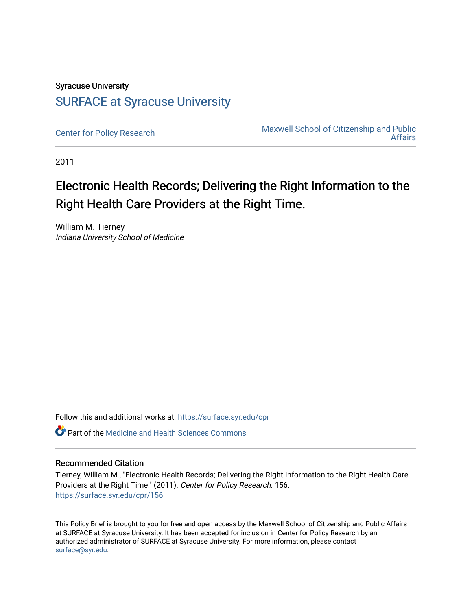# Syracuse University [SURFACE at Syracuse University](https://surface.syr.edu/)

[Center for Policy Research](https://surface.syr.edu/cpr) Maxwell School of Citizenship and Public [Affairs](https://surface.syr.edu/maxwell) 

2011

# Electronic Health Records; Delivering the Right Information to the Right Health Care Providers at the Right Time.

William M. Tierney Indiana University School of Medicine

Follow this and additional works at: [https://surface.syr.edu/cpr](https://surface.syr.edu/cpr?utm_source=surface.syr.edu%2Fcpr%2F156&utm_medium=PDF&utm_campaign=PDFCoverPages) 

Part of the [Medicine and Health Sciences Commons](http://network.bepress.com/hgg/discipline/648?utm_source=surface.syr.edu%2Fcpr%2F156&utm_medium=PDF&utm_campaign=PDFCoverPages) 

### Recommended Citation

Tierney, William M., "Electronic Health Records; Delivering the Right Information to the Right Health Care Providers at the Right Time." (2011). Center for Policy Research. 156. [https://surface.syr.edu/cpr/156](https://surface.syr.edu/cpr/156?utm_source=surface.syr.edu%2Fcpr%2F156&utm_medium=PDF&utm_campaign=PDFCoverPages) 

This Policy Brief is brought to you for free and open access by the Maxwell School of Citizenship and Public Affairs at SURFACE at Syracuse University. It has been accepted for inclusion in Center for Policy Research by an authorized administrator of SURFACE at Syracuse University. For more information, please contact [surface@syr.edu.](mailto:surface@syr.edu)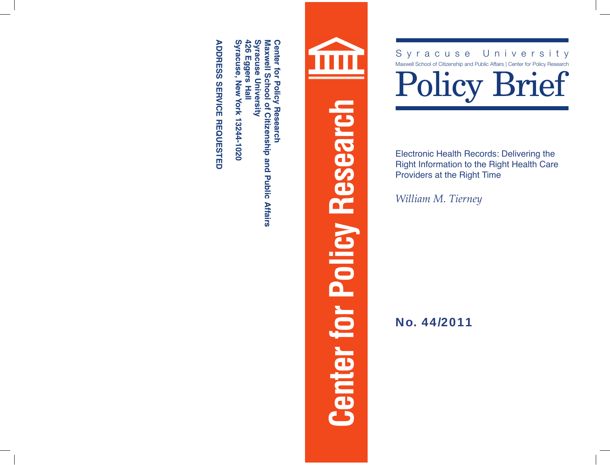**Syracuse University Maxwell School of Citizenship and Public Affairs 426 Syracuse University Maxwell School of Citizenship and Public Affairs**

**ADDRESS SERVICE REQUESTED**

**Syracuse, New York 13244-1020<br>ADDRESS SERVICE REQUESTED** 

**Syracuse, New York 13244-1020**

**426 Eggers Hall**

# **Center for Policy Research**

Syracuse University<br>
Maxwell School of Citizenship and Public Affairs | Center for Policy Research

Electronic Health Records: Delivering the Right Information to the Right Health Care Providers at the Right Time

*William M. Tierney*

No. 44/2011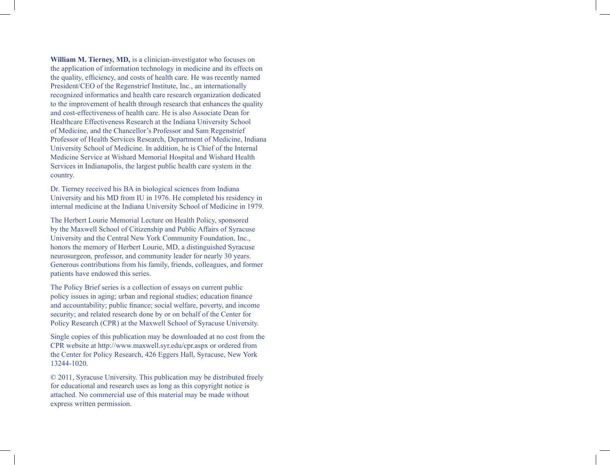**William M. Tierney, MD,** is a clinician-investigator who focuses on the application of information technology in medicine and its effects on the quality, efficiency, and costs of health care. He was recently named President/CEO of the Regenstrief Institute, Inc., an internationally recognized informatics and health care research organization dedicated to the improvement of health through research that enhances the quality and cost-effectiveness of health care. He is also Associate Dean for Healthcare Effectiveness Research at the Indiana University School of Medicine, and the Chancellor's Professor and Sam Regenstrief Professor of Health Services Research, Department of Medicine, Indiana University School of Medicine. In addition, he is Chief of the Internal Medicine Service at Wishard Memorial Hospital and Wishard Health Services in Indianapolis, the largest public health care system in the country.

Dr. Tierney received his BA in biological sciences from Indiana University and his MD from IU in 1976. He completed his residency in internal medicine at the Indiana University School of Medicine in 1979.

The Herbert Lourie Memorial Lecture on Health Policy, sponsored by the Maxwell School of Citizenship and Public Affairs of Syracuse University and the Central New York Community Foundation, Inc., honors the memory of Herbert Lourie, MD, a distinguished Syracuse neurosurgeon, professor, and community leader for nearly 30 years. Generous contributions from his family, friends, colleagues, and former patients have endowed this series.

The Policy Brief series is a collection of essays on current public policy issues in aging; urban and regional studies; education finance and accountability; public finance; social welfare, poverty, and income security; and related research done by or on behalf of the Center for Policy Research (CPR) at the Maxwell School of Syracuse University.

Single copies of this publication may be downloaded at no cost from the CPR website at http://www.maxwell.syr.edu/cpr.aspx or ordered from the Center for Policy Research, 426 Eggers Hall, Syracuse, New York 13244-1020.

© 2011, Syracuse University. This publication may be distributed freely for educational and research uses as long as this copyright notice is attached. No commercial use of this material may be made without express written permission.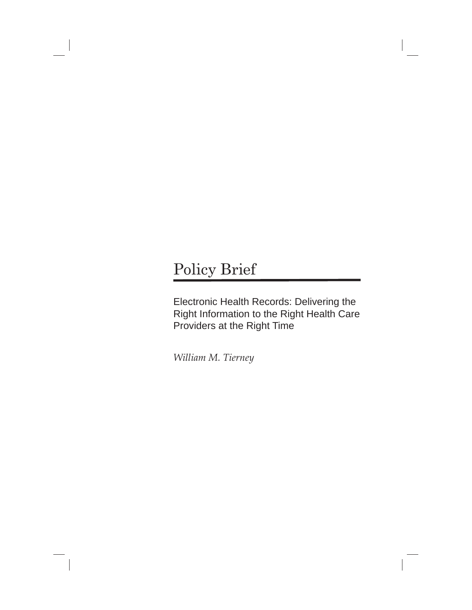# Policy Brief

Electronic Health Records: Delivering the Right Information to the Right Health Care Providers at the Right Time

*William M. Tierney*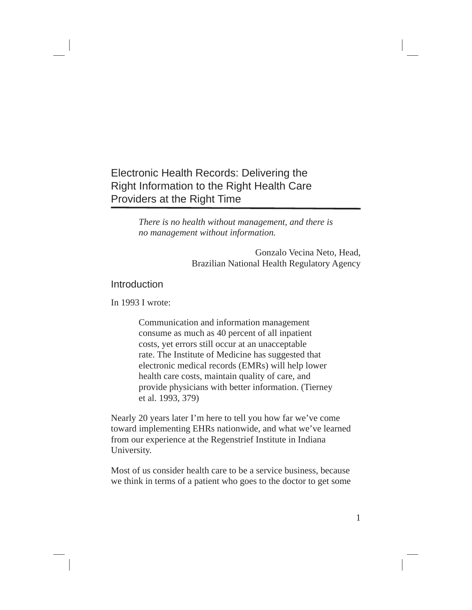# Electronic Health Records: Delivering the Right Information to the Right Health Care Providers at the Right Time

*There is no health without management, and there is no management without information.*

> Gonzalo Vecina Neto, Head, Brazilian National Health Regulatory Agency

# Introduction

In 1993 I wrote:

Communication and information management consume as much as 40 percent of all inpatient costs, yet errors still occur at an unacceptable rate. The Institute of Medicine has suggested that electronic medical records (EMRs) will help lower health care costs, maintain quality of care, and provide physicians with better information. (Tierney et al. 1993, 379)

Nearly 20 years later I'm here to tell you how far we've come toward implementing EHRs nationwide, and what we've learned from our experience at the Regenstrief Institute in Indiana University.

Most of us consider health care to be a service business, because we think in terms of a patient who goes to the doctor to get some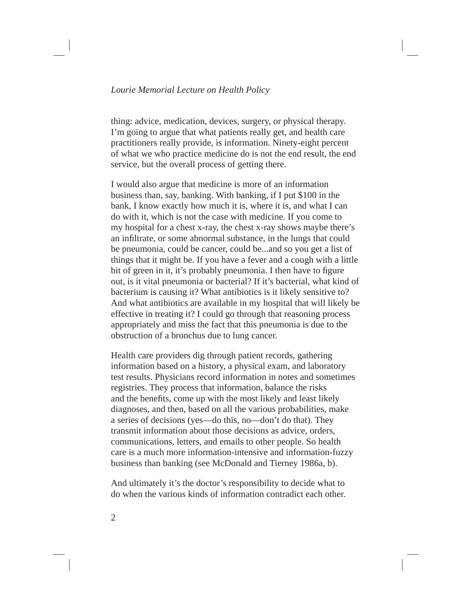thing: advice, medication, devices, surgery, or physical therapy. I'm going to argue that what patients really get, and health care practitioners really provide, is information. Ninety-eight percent of what we who practice medicine do is not the end result, the end service, but the overall process of getting there.

I would also argue that medicine is more of an information business than, say, banking. With banking, if I put \$100 in the bank, I know exactly how much it is, where it is, and what I can do with it, which is not the case with medicine. If you come to my hospital for a chest x-ray, the chest x-ray shows maybe there's an infiltrate, or some abnormal substance, in the lungs that could be pneumonia, could be cancer, could be...and so you get a list of things that it might be. If you have a fever and a cough with a little bit of green in it, it's probably pneumonia. I then have to figure out, is it vital pneumonia or bacterial? If it's bacterial, what kind of bacterium is causing it? What antibiotics is it likely sensitive to? And what antibiotics are available in my hospital that will likely be effective in treating it? I could go through that reasoning process appropriately and miss the fact that this pneumonia is due to the obstruction of a bronchus due to lung cancer.

Health care providers dig through patient records, gathering information based on a history, a physical exam, and laboratory test results. Physicians record information in notes and sometimes registries. They process that information, balance the risks and the benefits, come up with the most likely and least likely diagnoses, and then, based on all the various probabilities, make a series of decisions (yes—do this, no—don't do that). They transmit information about those decisions as advice, orders, communications, letters, and emails to other people. So health care is a much more information-intensive and information-fuzzy business than banking (see McDonald and Tierney 1986a, b).

And ultimately it's the doctor's responsibility to decide what to do when the various kinds of information contradict each other.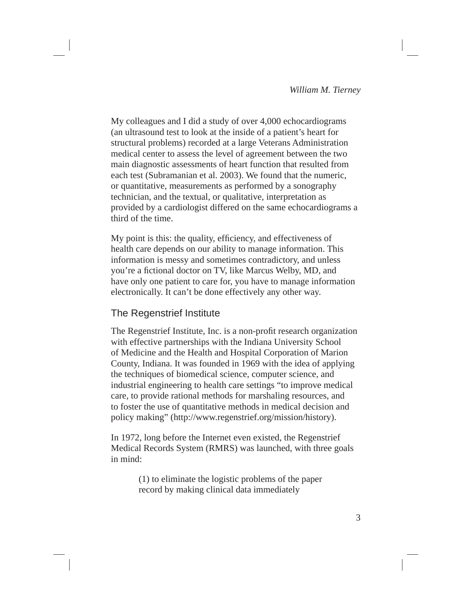My colleagues and I did a study of over 4,000 echocardiograms (an ultrasound test to look at the inside of a patient's heart for structural problems) recorded at a large Veterans Administration medical center to assess the level of agreement between the two main diagnostic assessments of heart function that resulted from each test (Subramanian et al. 2003). We found that the numeric, or quantitative, measurements as performed by a sonography technician, and the textual, or qualitative, interpretation as provided by a cardiologist differed on the same echocardiograms a third of the time.

My point is this: the quality, efficiency, and effectiveness of health care depends on our ability to manage information. This information is messy and sometimes contradictory, and unless you're a fictional doctor on TV, like Marcus Welby, MD, and have only one patient to care for, you have to manage information electronically. It can't be done effectively any other way.

# The Regenstrief Institute

The Regenstrief Institute, Inc. is a non-profit research organization with effective partnerships with the Indiana University School of Medicine and the Health and Hospital Corporation of Marion County, Indiana. It was founded in 1969 with the idea of applying the techniques of biomedical science, computer science, and industrial engineering to health care settings "to improve medical care, to provide rational methods for marshaling resources, and to foster the use of quantitative methods in medical decision and policy making" (http://www.regenstrief.org/mission/history).

In 1972, long before the Internet even existed, the Regenstrief Medical Records System (RMRS) was launched, with three goals in mind:

> (1) to eliminate the logistic problems of the paper record by making clinical data immediately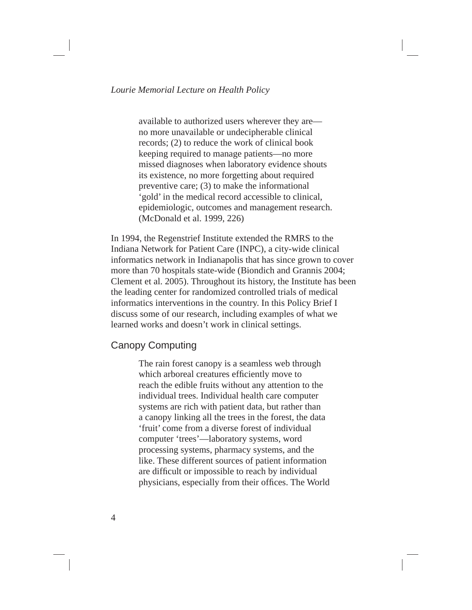available to authorized users wherever they are no more unavailable or undecipherable clinical records; (2) to reduce the work of clinical book keeping required to manage patients—no more missed diagnoses when laboratory evidence shouts its existence, no more forgetting about required preventive care; (3) to make the informational 'gold' in the medical record accessible to clinical, epidemiologic, outcomes and management research. (McDonald et al. 1999, 226)

In 1994, the Regenstrief Institute extended the RMRS to the Indiana Network for Patient Care (INPC), a city-wide clinical informatics network in Indianapolis that has since grown to cover more than 70 hospitals state-wide (Biondich and Grannis 2004; Clement et al. 2005). Throughout its history, the Institute has been the leading center for randomized controlled trials of medical informatics interventions in the country. In this Policy Brief I discuss some of our research, including examples of what we learned works and doesn't work in clinical settings.

### Canopy Computing

The rain forest canopy is a seamless web through which arboreal creatures efficiently move to reach the edible fruits without any attention to the individual trees. Individual health care computer systems are rich with patient data, but rather than a canopy linking all the trees in the forest, the data 'fruit' come from a diverse forest of individual computer 'trees'—laboratory systems, word processing systems, pharmacy systems, and the like. These different sources of patient information are difficult or impossible to reach by individual physicians, especially from their offices. The World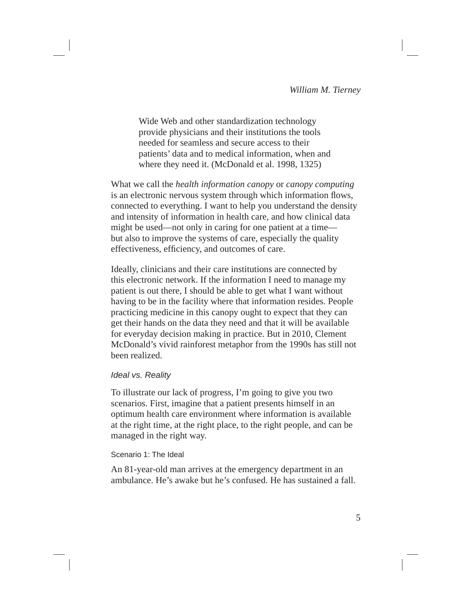Wide Web and other standardization technology provide physicians and their institutions the tools needed for seamless and secure access to their patients' data and to medical information, when and where they need it. (McDonald et al. 1998, 1325)

What we call the *health information canopy* or *canopy computing* is an electronic nervous system through which information flows, connected to everything. I want to help you understand the density and intensity of information in health care, and how clinical data might be used—not only in caring for one patient at a time but also to improve the systems of care, especially the quality effectiveness, efficiency, and outcomes of care.

Ideally, clinicians and their care institutions are connected by this electronic network. If the information I need to manage my patient is out there, I should be able to get what I want without having to be in the facility where that information resides. People practicing medicine in this canopy ought to expect that they can get their hands on the data they need and that it will be available for everyday decision making in practice. But in 2010, Clement McDonald's vivid rainforest metaphor from the 1990s has still not been realized.

### *Ideal vs. Reality*

To illustrate our lack of progress, I'm going to give you two scenarios. First, imagine that a patient presents himself in an optimum health care environment where information is available at the right time, at the right place, to the right people, and can be managed in the right way.

### Scenario 1: The Ideal

An 81-year-old man arrives at the emergency department in an ambulance. He's awake but he's confused. He has sustained a fall.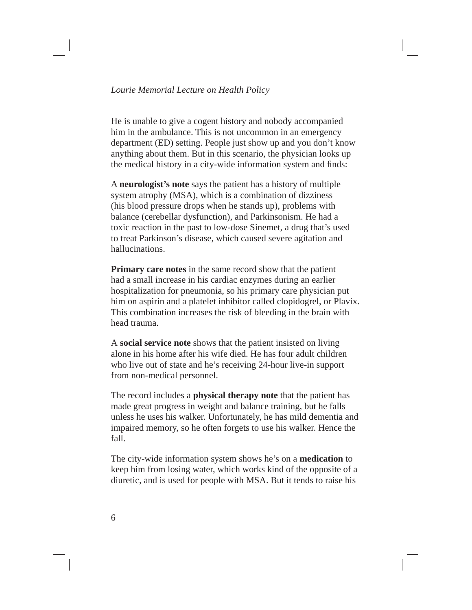He is unable to give a cogent history and nobody accompanied him in the ambulance. This is not uncommon in an emergency department (ED) setting. People just show up and you don't know anything about them. But in this scenario, the physician looks up the medical history in a city-wide information system and finds:

A **neurologist's note** says the patient has a history of multiple system atrophy (MSA), which is a combination of dizziness (his blood pressure drops when he stands up), problems with balance (cerebellar dysfunction), and Parkinsonism. He had a toxic reaction in the past to low-dose Sinemet, a drug that's used to treat Parkinson's disease, which caused severe agitation and hallucinations.

**Primary care notes** in the same record show that the patient had a small increase in his cardiac enzymes during an earlier hospitalization for pneumonia, so his primary care physician put him on aspirin and a platelet inhibitor called clopidogrel, or Plavix. This combination increases the risk of bleeding in the brain with head trauma.

A **social service note** shows that the patient insisted on living alone in his home after his wife died. He has four adult children who live out of state and he's receiving 24-hour live-in support from non-medical personnel.

The record includes a **physical therapy note** that the patient has made great progress in weight and balance training, but he falls unless he uses his walker. Unfortunately, he has mild dementia and impaired memory, so he often forgets to use his walker. Hence the fall.

The city-wide information system shows he's on a **medication** to keep him from losing water, which works kind of the opposite of a diuretic, and is used for people with MSA. But it tends to raise his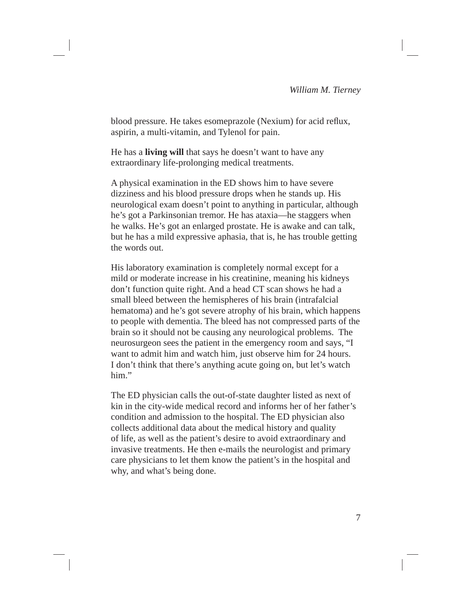blood pressure. He takes esomeprazole (Nexium) for acid reflux, aspirin, a multi-vitamin, and Tylenol for pain.

He has a **living will** that says he doesn't want to have any extraordinary life-prolonging medical treatments.

A physical examination in the ED shows him to have severe dizziness and his blood pressure drops when he stands up. His neurological exam doesn't point to anything in particular, although he's got a Parkinsonian tremor. He has ataxia—he staggers when he walks. He's got an enlarged prostate. He is awake and can talk, but he has a mild expressive aphasia, that is, he has trouble getting the words out.

His laboratory examination is completely normal except for a mild or moderate increase in his creatinine, meaning his kidneys don't function quite right. And a head CT scan shows he had a small bleed between the hemispheres of his brain (intrafalcial hematoma) and he's got severe atrophy of his brain, which happens to people with dementia. The bleed has not compressed parts of the brain so it should not be causing any neurological problems. The neurosurgeon sees the patient in the emergency room and says, "I want to admit him and watch him, just observe him for 24 hours. I don't think that there's anything acute going on, but let's watch him."

The ED physician calls the out-of-state daughter listed as next of kin in the city-wide medical record and informs her of her father's condition and admission to the hospital. The ED physician also collects additional data about the medical history and quality of life, as well as the patient's desire to avoid extraordinary and invasive treatments. He then e-mails the neurologist and primary care physicians to let them know the patient's in the hospital and why, and what's being done.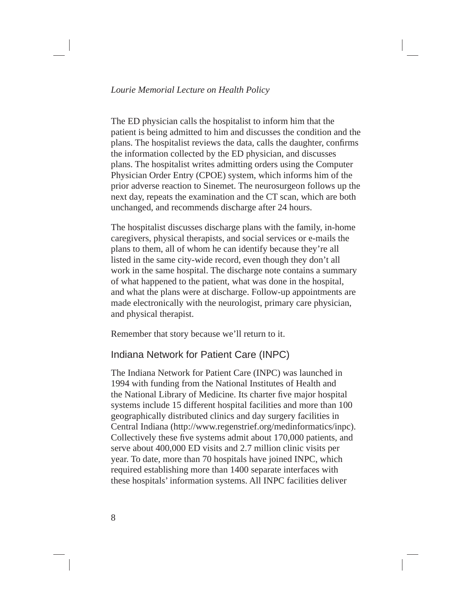### *Lourie Memorial Lecture on Health Policy*

The ED physician calls the hospitalist to inform him that the patient is being admitted to him and discusses the condition and the plans. The hospitalist reviews the data, calls the daughter, confirms the information collected by the ED physician, and discusses plans. The hospitalist writes admitting orders using the Computer Physician Order Entry (CPOE) system, which informs him of the prior adverse reaction to Sinemet. The neurosurgeon follows up the next day, repeats the examination and the CT scan, which are both unchanged, and recommends discharge after 24 hours.

The hospitalist discusses discharge plans with the family, in-home caregivers, physical therapists, and social services or e-mails the plans to them, all of whom he can identify because they're all listed in the same city-wide record, even though they don't all work in the same hospital. The discharge note contains a summary of what happened to the patient, what was done in the hospital, and what the plans were at discharge. Follow-up appointments are made electronically with the neurologist, primary care physician, and physical therapist.

Remember that story because we'll return to it.

# Indiana Network for Patient Care (INPC)

The Indiana Network for Patient Care (INPC) was launched in 1994 with funding from the National Institutes of Health and the National Library of Medicine. Its charter five major hospital systems include 15 different hospital facilities and more than 100 geographically distributed clinics and day surgery facilities in Central Indiana (http://www.regenstrief.org/medinformatics/inpc). Collectively these five systems admit about 170,000 patients, and serve about 400,000 ED visits and 2.7 million clinic visits per year. To date, more than 70 hospitals have joined INPC, which required establishing more than 1400 separate interfaces with these hospitals' information systems. All INPC facilities deliver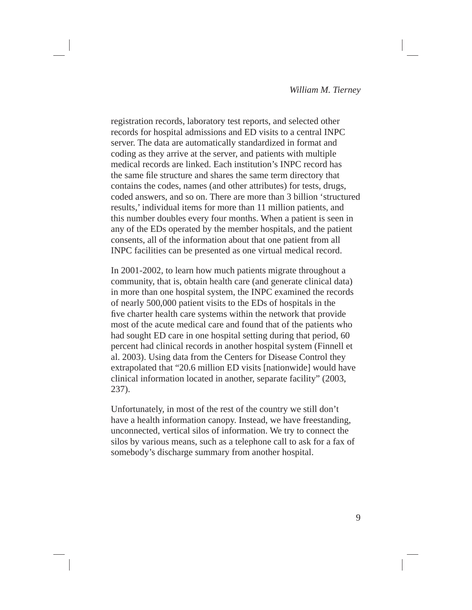registration records, laboratory test reports, and selected other records for hospital admissions and ED visits to a central INPC server. The data are automatically standardized in format and coding as they arrive at the server, and patients with multiple medical records are linked. Each institution's INPC record has the same file structure and shares the same term directory that contains the codes, names (and other attributes) for tests, drugs, coded answers, and so on. There are more than 3 billion 'structured results,' individual items for more than 11 million patients, and this number doubles every four months. When a patient is seen in any of the EDs operated by the member hospitals, and the patient consents, all of the information about that one patient from all INPC facilities can be presented as one virtual medical record.

In 2001-2002, to learn how much patients migrate throughout a community, that is, obtain health care (and generate clinical data) in more than one hospital system, the INPC examined the records of nearly 500,000 patient visits to the EDs of hospitals in the five charter health care systems within the network that provide most of the acute medical care and found that of the patients who had sought ED care in one hospital setting during that period, 60 percent had clinical records in another hospital system (Finnell et al. 2003). Using data from the Centers for Disease Control they extrapolated that "20.6 million ED visits [nationwide] would have clinical information located in another, separate facility" (2003, 237).

Unfortunately, in most of the rest of the country we still don't have a health information canopy. Instead, we have freestanding, unconnected, vertical silos of information. We try to connect the silos by various means, such as a telephone call to ask for a fax of somebody's discharge summary from another hospital.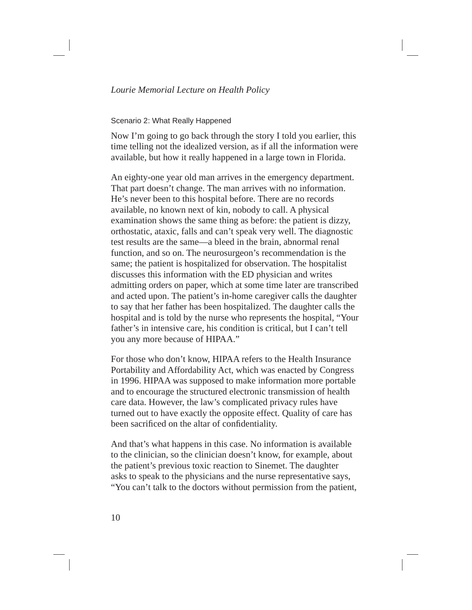### Scenario 2: What Really Happened

Now I'm going to go back through the story I told you earlier, this time telling not the idealized version, as if all the information were available, but how it really happened in a large town in Florida.

An eighty-one year old man arrives in the emergency department. That part doesn't change. The man arrives with no information. He's never been to this hospital before. There are no records available, no known next of kin, nobody to call. A physical examination shows the same thing as before: the patient is dizzy, orthostatic, ataxic, falls and can't speak very well. The diagnostic test results are the same—a bleed in the brain, abnormal renal function, and so on. The neurosurgeon's recommendation is the same; the patient is hospitalized for observation. The hospitalist discusses this information with the ED physician and writes admitting orders on paper, which at some time later are transcribed and acted upon. The patient's in-home caregiver calls the daughter to say that her father has been hospitalized. The daughter calls the hospital and is told by the nurse who represents the hospital, "Your father's in intensive care, his condition is critical, but I can't tell you any more because of HIPAA."

For those who don't know, HIPAA refers to the Health Insurance Portability and Affordability Act, which was enacted by Congress in 1996. HIPAA was supposed to make information more portable and to encourage the structured electronic transmission of health care data. However, the law's complicated privacy rules have turned out to have exactly the opposite effect. Quality of care has been sacrificed on the altar of confidentiality.

And that's what happens in this case. No information is available to the clinician, so the clinician doesn't know, for example, about the patient's previous toxic reaction to Sinemet. The daughter asks to speak to the physicians and the nurse representative says, "You can't talk to the doctors without permission from the patient,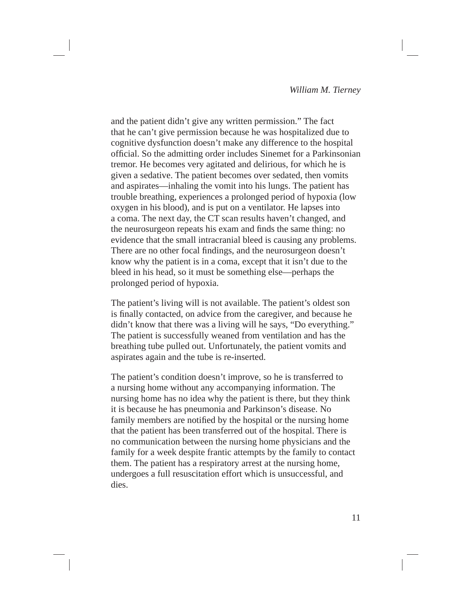and the patient didn't give any written permission." The fact that he can't give permission because he was hospitalized due to cognitive dysfunction doesn't make any difference to the hospital official. So the admitting order includes Sinemet for a Parkinsonian tremor. He becomes very agitated and delirious, for which he is given a sedative. The patient becomes over sedated, then vomits and aspirates—inhaling the vomit into his lungs. The patient has trouble breathing, experiences a prolonged period of hypoxia (low oxygen in his blood), and is put on a ventilator. He lapses into a coma. The next day, the CT scan results haven't changed, and the neurosurgeon repeats his exam and finds the same thing: no evidence that the small intracranial bleed is causing any problems. There are no other focal findings, and the neurosurgeon doesn't know why the patient is in a coma, except that it isn't due to the bleed in his head, so it must be something else—perhaps the prolonged period of hypoxia.

The patient's living will is not available. The patient's oldest son is finally contacted, on advice from the caregiver, and because he didn't know that there was a living will he says, "Do everything." The patient is successfully weaned from ventilation and has the breathing tube pulled out. Unfortunately, the patient vomits and aspirates again and the tube is re-inserted.

The patient's condition doesn't improve, so he is transferred to a nursing home without any accompanying information. The nursing home has no idea why the patient is there, but they think it is because he has pneumonia and Parkinson's disease. No family members are notified by the hospital or the nursing home that the patient has been transferred out of the hospital. There is no communication between the nursing home physicians and the family for a week despite frantic attempts by the family to contact them. The patient has a respiratory arrest at the nursing home, undergoes a full resuscitation effort which is unsuccessful, and dies.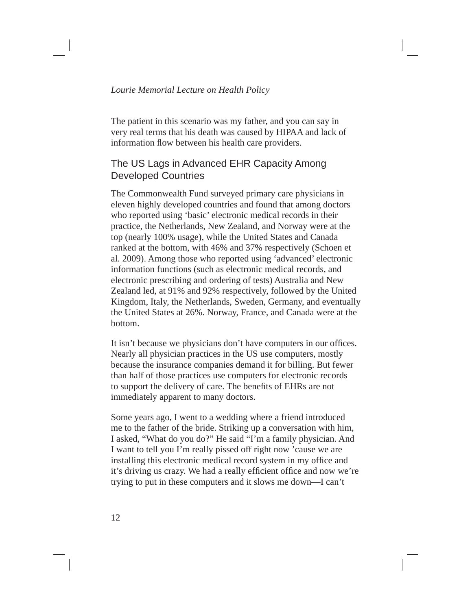The patient in this scenario was my father, and you can say in very real terms that his death was caused by HIPAA and lack of information flow between his health care providers.

# The US Lags in Advanced EHR Capacity Among Developed Countries

The Commonwealth Fund surveyed primary care physicians in eleven highly developed countries and found that among doctors who reported using 'basic' electronic medical records in their practice, the Netherlands, New Zealand, and Norway were at the top (nearly 100% usage), while the United States and Canada ranked at the bottom, with 46% and 37% respectively (Schoen et al. 2009). Among those who reported using 'advanced' electronic information functions (such as electronic medical records, and electronic prescribing and ordering of tests) Australia and New Zealand led, at 91% and 92% respectively, followed by the United Kingdom, Italy, the Netherlands, Sweden, Germany, and eventually the United States at 26%. Norway, France, and Canada were at the bottom.

It isn't because we physicians don't have computers in our offices. Nearly all physician practices in the US use computers, mostly because the insurance companies demand it for billing. But fewer than half of those practices use computers for electronic records to support the delivery of care. The benefits of EHRs are not immediately apparent to many doctors.

Some years ago, I went to a wedding where a friend introduced me to the father of the bride. Striking up a conversation with him, I asked, "What do you do?" He said "I'm a family physician. And I want to tell you I'm really pissed off right now 'cause we are installing this electronic medical record system in my office and it's driving us crazy. We had a really efficient office and now we're trying to put in these computers and it slows me down—I can't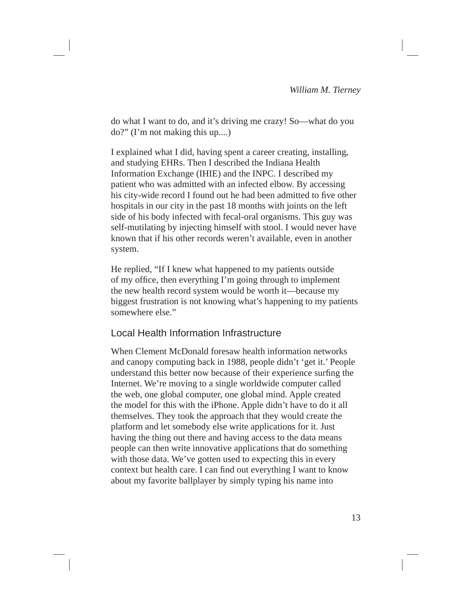do what I want to do, and it's driving me crazy! So—what do you do?" (I'm not making this up....)

I explained what I did, having spent a career creating, installing, and studying EHRs. Then I described the Indiana Health Information Exchange (IHIE) and the INPC. I described my patient who was admitted with an infected elbow. By accessing his city-wide record I found out he had been admitted to five other hospitals in our city in the past 18 months with joints on the left side of his body infected with fecal-oral organisms. This guy was self-mutilating by injecting himself with stool. I would never have known that if his other records weren't available, even in another system.

He replied, "If I knew what happened to my patients outside of my office, then everything I'm going through to implement the new health record system would be worth it—because my biggest frustration is not knowing what's happening to my patients somewhere else."

# Local Health Information Infrastructure

When Clement McDonald foresaw health information networks and canopy computing back in 1988, people didn't 'get it.' People understand this better now because of their experience surfing the Internet. We're moving to a single worldwide computer called the web, one global computer, one global mind. Apple created the model for this with the iPhone. Apple didn't have to do it all themselves. They took the approach that they would create the platform and let somebody else write applications for it. Just having the thing out there and having access to the data means people can then write innovative applications that do something with those data. We've gotten used to expecting this in every context but health care. I can find out everything I want to know about my favorite ballplayer by simply typing his name into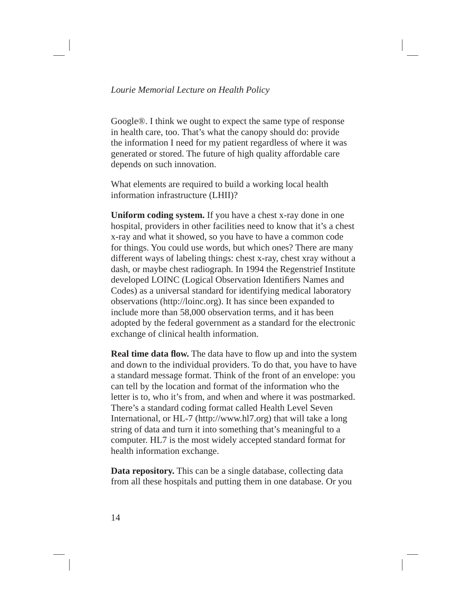Google®. I think we ought to expect the same type of response in health care, too. That's what the canopy should do: provide the information I need for my patient regardless of where it was generated or stored. The future of high quality affordable care depends on such innovation.

What elements are required to build a working local health information infrastructure (LHII)?

**Uniform coding system.** If you have a chest x-ray done in one hospital, providers in other facilities need to know that it's a chest x-ray and what it showed, so you have to have a common code for things. You could use words, but which ones? There are many different ways of labeling things: chest x-ray, chest xray without a dash, or maybe chest radiograph. In 1994 the Regenstrief Institute developed LOINC (Logical Observation Identifiers Names and Codes) as a universal standard for identifying medical laboratory observations (http://loinc.org). It has since been expanded to include more than 58,000 observation terms, and it has been adopted by the federal government as a standard for the electronic exchange of clinical health information.

**Real time data flow.** The data have to flow up and into the system and down to the individual providers. To do that, you have to have a standard message format. Think of the front of an envelope: you can tell by the location and format of the information who the letter is to, who it's from, and when and where it was postmarked. There's a standard coding format called Health Level Seven International, or HL-7 (http://www.hl7.org) that will take a long string of data and turn it into something that's meaningful to a computer. HL7 is the most widely accepted standard format for health information exchange.

**Data repository.** This can be a single database, collecting data from all these hospitals and putting them in one database. Or you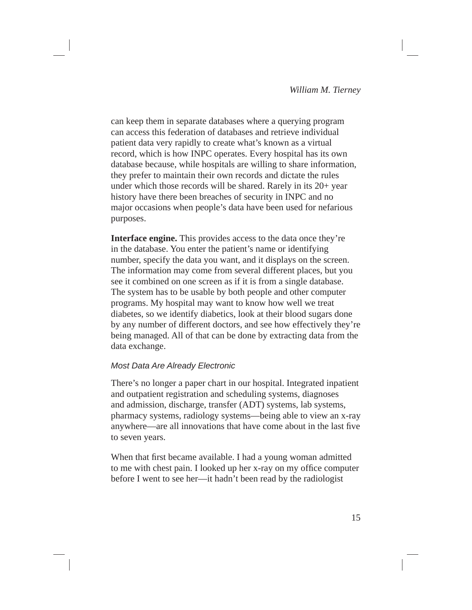can keep them in separate databases where a querying program can access this federation of databases and retrieve individual patient data very rapidly to create what's known as a virtual record, which is how INPC operates. Every hospital has its own database because, while hospitals are willing to share information, they prefer to maintain their own records and dictate the rules under which those records will be shared. Rarely in its 20+ year history have there been breaches of security in INPC and no major occasions when people's data have been used for nefarious purposes.

**Interface engine.** This provides access to the data once they're in the database. You enter the patient's name or identifying number, specify the data you want, and it displays on the screen. The information may come from several different places, but you see it combined on one screen as if it is from a single database. The system has to be usable by both people and other computer programs. My hospital may want to know how well we treat diabetes, so we identify diabetics, look at their blood sugars done by any number of different doctors, and see how effectively they're being managed. All of that can be done by extracting data from the data exchange.

### *Most Data Are Already Electronic*

There's no longer a paper chart in our hospital. Integrated inpatient and outpatient registration and scheduling systems, diagnoses and admission, discharge, transfer (ADT) systems, lab systems, pharmacy systems, radiology systems—being able to view an x-ray anywhere—are all innovations that have come about in the last five to seven years.

When that first became available. I had a young woman admitted to me with chest pain. I looked up her x-ray on my office computer before I went to see her—it hadn't been read by the radiologist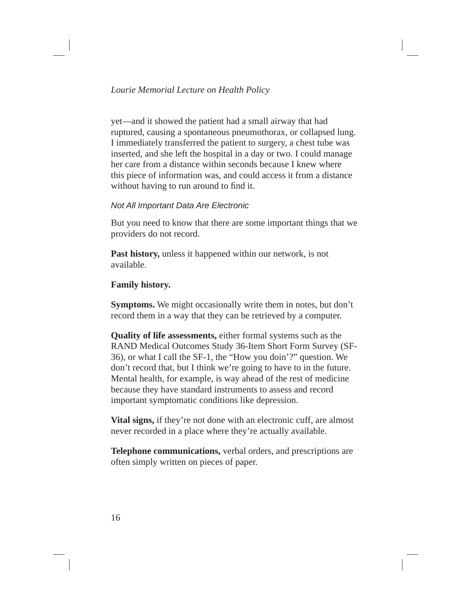yet—and it showed the patient had a small airway that had ruptured, causing a spontaneous pneumothorax, or collapsed lung. I immediately transferred the patient to surgery, a chest tube was inserted, and she left the hospital in a day or two. I could manage her care from a distance within seconds because I knew where this piece of information was, and could access it from a distance without having to run around to find it.

### *Not All Important Data Are Electronic*

But you need to know that there are some important things that we providers do not record.

**Past history,** unless it happened within our network, is not available.

### **Family history.**

**Symptoms.** We might occasionally write them in notes, but don't record them in a way that they can be retrieved by a computer.

**Quality of life assessments,** either formal systems such as the RAND Medical Outcomes Study 36-Item Short Form Survey (SF-36), or what I call the SF-1, the "How you doin'?" question. We don't record that, but I think we're going to have to in the future. Mental health, for example, is way ahead of the rest of medicine because they have standard instruments to assess and record important symptomatic conditions like depression.

**Vital signs,** if they're not done with an electronic cuff, are almost never recorded in a place where they're actually available.

**Telephone communications,** verbal orders, and prescriptions are often simply written on pieces of paper.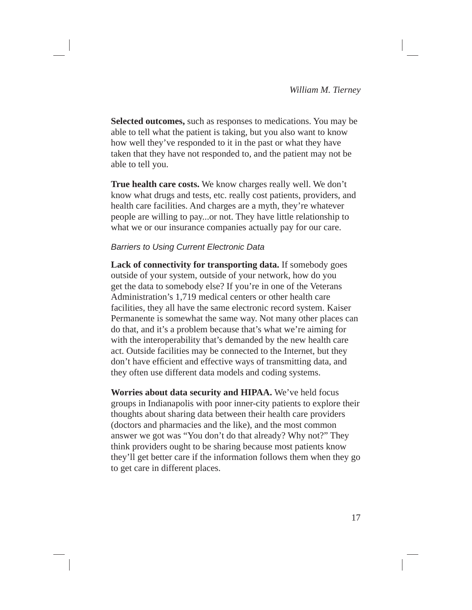**Selected outcomes,** such as responses to medications. You may be able to tell what the patient is taking, but you also want to know how well they've responded to it in the past or what they have taken that they have not responded to, and the patient may not be able to tell you.

**True health care costs.** We know charges really well. We don't know what drugs and tests, etc. really cost patients, providers, and health care facilities. And charges are a myth, they're whatever people are willing to pay...or not. They have little relationship to what we or our insurance companies actually pay for our care.

### *Barriers to Using Current Electronic Data*

**Lack of connectivity for transporting data.** If somebody goes outside of your system, outside of your network, how do you get the data to somebody else? If you're in one of the Veterans Administration's 1,719 medical centers or other health care facilities, they all have the same electronic record system. Kaiser Permanente is somewhat the same way. Not many other places can do that, and it's a problem because that's what we're aiming for with the interoperability that's demanded by the new health care act. Outside facilities may be connected to the Internet, but they don't have efficient and effective ways of transmitting data, and they often use different data models and coding systems.

**Worries about data security and HIPAA.** We've held focus groups in Indianapolis with poor inner-city patients to explore their thoughts about sharing data between their health care providers (doctors and pharmacies and the like), and the most common answer we got was "You don't do that already? Why not?" They think providers ought to be sharing because most patients know they'll get better care if the information follows them when they go to get care in different places.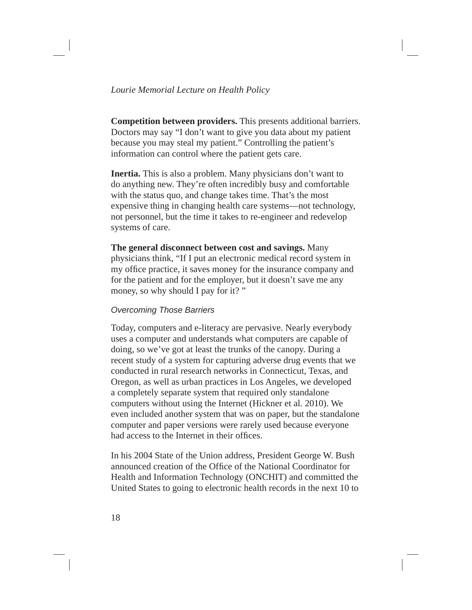### *Lourie Memorial Lecture on Health Policy*

**Competition between providers.** This presents additional barriers. Doctors may say "I don't want to give you data about my patient because you may steal my patient." Controlling the patient's information can control where the patient gets care.

**Inertia.** This is also a problem. Many physicians don't want to do anything new. They're often incredibly busy and comfortable with the status quo, and change takes time. That's the most expensive thing in changing health care systems—not technology, not personnel, but the time it takes to re-engineer and redevelop systems of care.

### **The general disconnect between cost and savings.** Many physicians think, "If I put an electronic medical record system in my office practice, it saves money for the insurance company and for the patient and for the employer, but it doesn't save me any money, so why should I pay for it?"

### *Overcoming Those Barriers*

Today, computers and e-literacy are pervasive. Nearly everybody uses a computer and understands what computers are capable of doing, so we've got at least the trunks of the canopy. During a recent study of a system for capturing adverse drug events that we conducted in rural research networks in Connecticut, Texas, and Oregon, as well as urban practices in Los Angeles, we developed a completely separate system that required only standalone computers without using the Internet (Hickner et al. 2010). We even included another system that was on paper, but the standalone computer and paper versions were rarely used because everyone had access to the Internet in their offices.

In his 2004 State of the Union address, President George W. Bush announced creation of the Office of the National Coordinator for Health and Information Technology (ONCHIT) and committed the United States to going to electronic health records in the next 10 to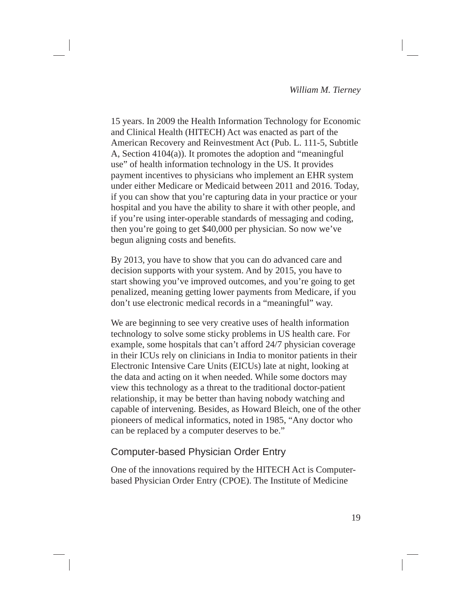15 years. In 2009 the Health Information Technology for Economic and Clinical Health (HITECH) Act was enacted as part of the American Recovery and Reinvestment Act (Pub. L. 111-5, Subtitle A, Section 4104(a)). It promotes the adoption and "meaningful use" of health information technology in the US. It provides payment incentives to physicians who implement an EHR system under either Medicare or Medicaid between 2011 and 2016. Today, if you can show that you're capturing data in your practice or your hospital and you have the ability to share it with other people, and if you're using inter-operable standards of messaging and coding, then you're going to get \$40,000 per physician. So now we've begun aligning costs and benefits.

By 2013, you have to show that you can do advanced care and decision supports with your system. And by 2015, you have to start showing you've improved outcomes, and you're going to get penalized, meaning getting lower payments from Medicare, if you don't use electronic medical records in a "meaningful" way.

We are beginning to see very creative uses of health information technology to solve some sticky problems in US health care. For example, some hospitals that can't afford 24/7 physician coverage in their ICUs rely on clinicians in India to monitor patients in their Electronic Intensive Care Units (EICUs) late at night, looking at the data and acting on it when needed. While some doctors may view this technology as a threat to the traditional doctor-patient relationship, it may be better than having nobody watching and capable of intervening. Besides, as Howard Bleich, one of the other pioneers of medical informatics, noted in 1985, "Any doctor who can be replaced by a computer deserves to be."

### Computer-based Physician Order Entry

One of the innovations required by the HITECH Act is Computerbased Physician Order Entry (CPOE). The Institute of Medicine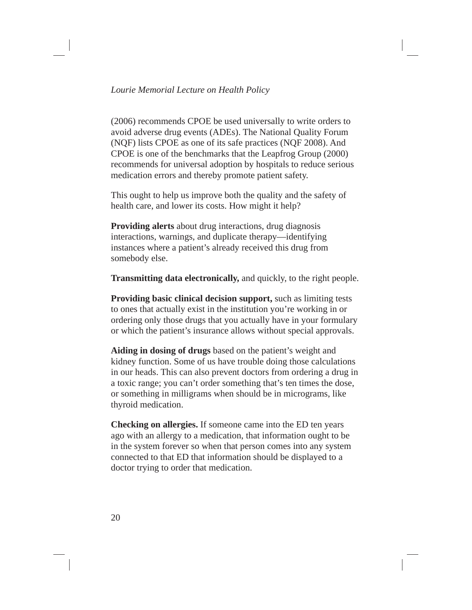(2006) recommends CPOE be used universally to write orders to avoid adverse drug events (ADEs). The National Quality Forum (NQF) lists CPOE as one of its safe practices (NQF 2008). And CPOE is one of the benchmarks that the Leapfrog Group (2000) recommends for universal adoption by hospitals to reduce serious medication errors and thereby promote patient safety.

This ought to help us improve both the quality and the safety of health care, and lower its costs. How might it help?

**Providing alerts** about drug interactions, drug diagnosis interactions, warnings, and duplicate therapy—identifying instances where a patient's already received this drug from somebody else.

**Transmitting data electronically,** and quickly, to the right people.

**Providing basic clinical decision support,** such as limiting tests to ones that actually exist in the institution you're working in or ordering only those drugs that you actually have in your formulary or which the patient's insurance allows without special approvals.

**Aiding in dosing of drugs** based on the patient's weight and kidney function. Some of us have trouble doing those calculations in our heads. This can also prevent doctors from ordering a drug in a toxic range; you can't order something that's ten times the dose, or something in milligrams when should be in micrograms, like thyroid medication.

**Checking on allergies.** If someone came into the ED ten years ago with an allergy to a medication, that information ought to be in the system forever so when that person comes into any system connected to that ED that information should be displayed to a doctor trying to order that medication.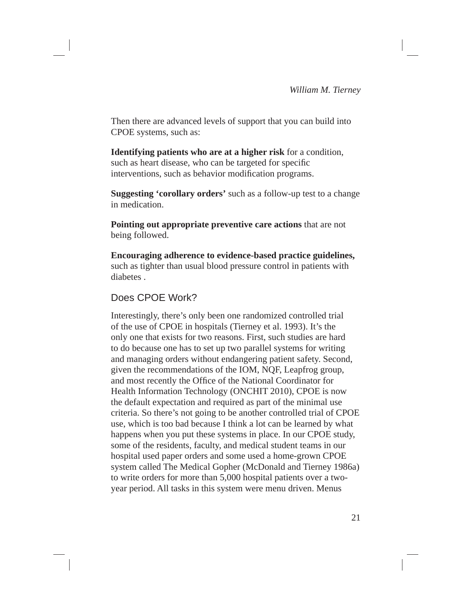Then there are advanced levels of support that you can build into CPOE systems, such as:

**Identifying patients who are at a higher risk** for a condition, such as heart disease, who can be targeted for specific interventions, such as behavior modification programs.

**Suggesting 'corollary orders'** such as a follow-up test to a change in medication.

**Pointing out appropriate preventive care actions** that are not being followed.

**Encouraging adherence to evidence-based practice guidelines,**  such as tighter than usual blood pressure control in patients with diabetes .

# Does CPOE Work?

Interestingly, there's only been one randomized controlled trial of the use of CPOE in hospitals (Tierney et al. 1993). It's the only one that exists for two reasons. First, such studies are hard to do because one has to set up two parallel systems for writing and managing orders without endangering patient safety. Second, given the recommendations of the IOM, NQF, Leapfrog group, and most recently the Office of the National Coordinator for Health Information Technology (ONCHIT 2010), CPOE is now the default expectation and required as part of the minimal use criteria. So there's not going to be another controlled trial of CPOE use, which is too bad because I think a lot can be learned by what happens when you put these systems in place. In our CPOE study, some of the residents, faculty, and medical student teams in our hospital used paper orders and some used a home-grown CPOE system called The Medical Gopher (McDonald and Tierney 1986a) to write orders for more than 5,000 hospital patients over a twoyear period. All tasks in this system were menu driven. Menus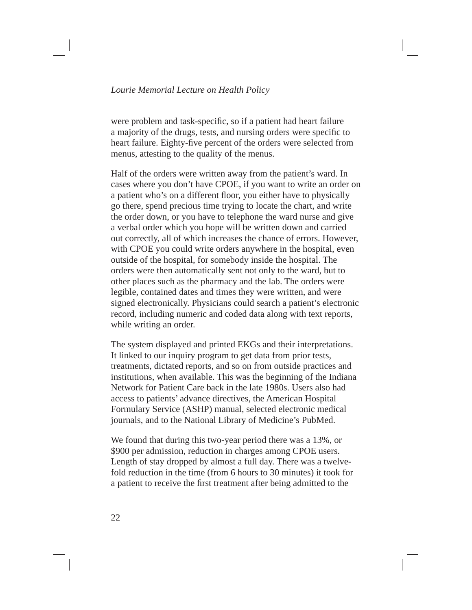were problem and task-specific, so if a patient had heart failure a majority of the drugs, tests, and nursing orders were specific to heart failure. Eighty-five percent of the orders were selected from menus, attesting to the quality of the menus.

Half of the orders were written away from the patient's ward. In cases where you don't have CPOE, if you want to write an order on a patient who's on a different floor, you either have to physically go there, spend precious time trying to locate the chart, and write the order down, or you have to telephone the ward nurse and give a verbal order which you hope will be written down and carried out correctly, all of which increases the chance of errors. However, with CPOE you could write orders anywhere in the hospital, even outside of the hospital, for somebody inside the hospital. The orders were then automatically sent not only to the ward, but to other places such as the pharmacy and the lab. The orders were legible, contained dates and times they were written, and were signed electronically. Physicians could search a patient's electronic record, including numeric and coded data along with text reports, while writing an order.

The system displayed and printed EKGs and their interpretations. It linked to our inquiry program to get data from prior tests, treatments, dictated reports, and so on from outside practices and institutions, when available. This was the beginning of the Indiana Network for Patient Care back in the late 1980s. Users also had access to patients' advance directives, the American Hospital Formulary Service (ASHP) manual, selected electronic medical journals, and to the National Library of Medicine's PubMed.

We found that during this two-year period there was a 13%, or \$900 per admission, reduction in charges among CPOE users. Length of stay dropped by almost a full day. There was a twelvefold reduction in the time (from 6 hours to 30 minutes) it took for a patient to receive the first treatment after being admitted to the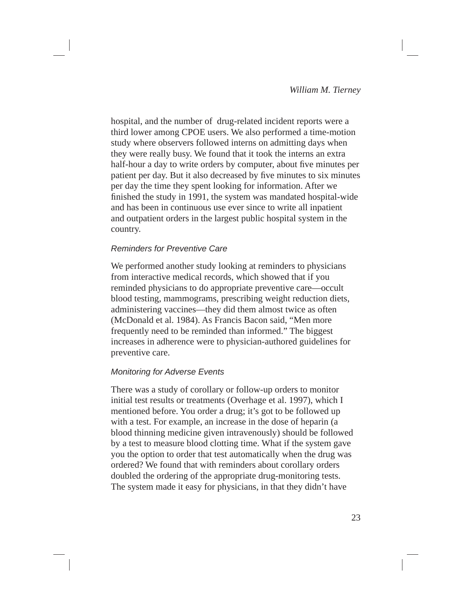hospital, and the number of drug-related incident reports were a third lower among CPOE users. We also performed a time-motion study where observers followed interns on admitting days when they were really busy. We found that it took the interns an extra half-hour a day to write orders by computer, about five minutes per patient per day. But it also decreased by five minutes to six minutes per day the time they spent looking for information. After we finished the study in 1991, the system was mandated hospital-wide and has been in continuous use ever since to write all inpatient and outpatient orders in the largest public hospital system in the country.

### *Reminders for Preventive Care*

We performed another study looking at reminders to physicians from interactive medical records, which showed that if you reminded physicians to do appropriate preventive care—occult blood testing, mammograms, prescribing weight reduction diets, administering vaccines—they did them almost twice as often (McDonald et al. 1984). As Francis Bacon said, "Men more frequently need to be reminded than informed." The biggest increases in adherence were to physician-authored guidelines for preventive care.

### *Monitoring for Adverse Events*

There was a study of corollary or follow-up orders to monitor initial test results or treatments (Overhage et al. 1997), which I mentioned before. You order a drug; it's got to be followed up with a test. For example, an increase in the dose of heparin (a blood thinning medicine given intravenously) should be followed by a test to measure blood clotting time. What if the system gave you the option to order that test automatically when the drug was ordered? We found that with reminders about corollary orders doubled the ordering of the appropriate drug-monitoring tests. The system made it easy for physicians, in that they didn't have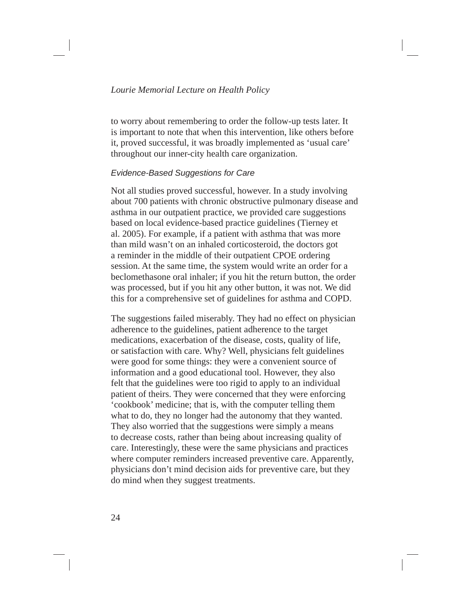to worry about remembering to order the follow-up tests later. It is important to note that when this intervention, like others before it, proved successful, it was broadly implemented as 'usual care' throughout our inner-city health care organization.

### *Evidence-Based Suggestions for Care*

Not all studies proved successful, however. In a study involving about 700 patients with chronic obstructive pulmonary disease and asthma in our outpatient practice, we provided care suggestions based on local evidence-based practice guidelines (Tierney et al. 2005). For example, if a patient with asthma that was more than mild wasn't on an inhaled corticosteroid, the doctors got a reminder in the middle of their outpatient CPOE ordering session. At the same time, the system would write an order for a beclomethasone oral inhaler; if you hit the return button, the order was processed, but if you hit any other button, it was not. We did this for a comprehensive set of guidelines for asthma and COPD.

The suggestions failed miserably. They had no effect on physician adherence to the guidelines, patient adherence to the target medications, exacerbation of the disease, costs, quality of life, or satisfaction with care. Why? Well, physicians felt guidelines were good for some things: they were a convenient source of information and a good educational tool. However, they also felt that the guidelines were too rigid to apply to an individual patient of theirs. They were concerned that they were enforcing 'cookbook' medicine; that is, with the computer telling them what to do, they no longer had the autonomy that they wanted. They also worried that the suggestions were simply a means to decrease costs, rather than being about increasing quality of care. Interestingly, these were the same physicians and practices where computer reminders increased preventive care. Apparently, physicians don't mind decision aids for preventive care, but they do mind when they suggest treatments.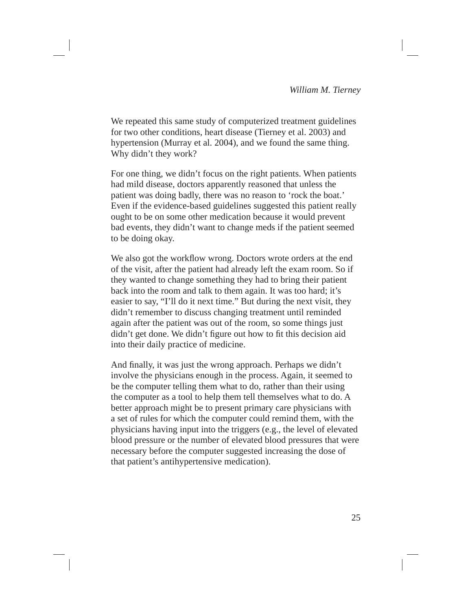We repeated this same study of computerized treatment guidelines for two other conditions, heart disease (Tierney et al. 2003) and hypertension (Murray et al. 2004), and we found the same thing. Why didn't they work?

For one thing, we didn't focus on the right patients. When patients had mild disease, doctors apparently reasoned that unless the patient was doing badly, there was no reason to 'rock the boat.' Even if the evidence-based guidelines suggested this patient really ought to be on some other medication because it would prevent bad events, they didn't want to change meds if the patient seemed to be doing okay.

We also got the workflow wrong. Doctors wrote orders at the end of the visit, after the patient had already left the exam room. So if they wanted to change something they had to bring their patient back into the room and talk to them again. It was too hard; it's easier to say, "I'll do it next time." But during the next visit, they didn't remember to discuss changing treatment until reminded again after the patient was out of the room, so some things just didn't get done. We didn't figure out how to fit this decision aid into their daily practice of medicine.

And finally, it was just the wrong approach. Perhaps we didn't involve the physicians enough in the process. Again, it seemed to be the computer telling them what to do, rather than their using the computer as a tool to help them tell themselves what to do. A better approach might be to present primary care physicians with a set of rules for which the computer could remind them, with the physicians having input into the triggers (e.g., the level of elevated blood pressure or the number of elevated blood pressures that were necessary before the computer suggested increasing the dose of that patient's antihypertensive medication).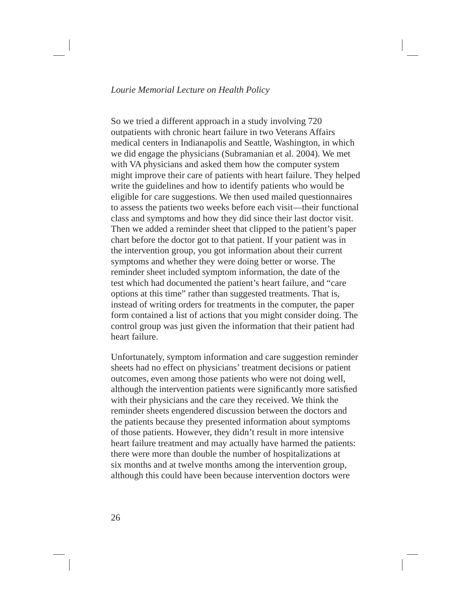So we tried a different approach in a study involving 720 outpatients with chronic heart failure in two Veterans Affairs medical centers in Indianapolis and Seattle, Washington, in which we did engage the physicians (Subramanian et al. 2004). We met with VA physicians and asked them how the computer system might improve their care of patients with heart failure. They helped write the guidelines and how to identify patients who would be eligible for care suggestions. We then used mailed questionnaires to assess the patients two weeks before each visit—their functional class and symptoms and how they did since their last doctor visit. Then we added a reminder sheet that clipped to the patient's paper chart before the doctor got to that patient. If your patient was in the intervention group, you got information about their current symptoms and whether they were doing better or worse. The reminder sheet included symptom information, the date of the test which had documented the patient's heart failure, and "care options at this time" rather than suggested treatments. That is, instead of writing orders for treatments in the computer, the paper form contained a list of actions that you might consider doing. The control group was just given the information that their patient had heart failure.

Unfortunately, symptom information and care suggestion reminder sheets had no effect on physicians' treatment decisions or patient outcomes, even among those patients who were not doing well, although the intervention patients were significantly more satisfied with their physicians and the care they received. We think the reminder sheets engendered discussion between the doctors and the patients because they presented information about symptoms of those patients. However, they didn't result in more intensive heart failure treatment and may actually have harmed the patients: there were more than double the number of hospitalizations at six months and at twelve months among the intervention group, although this could have been because intervention doctors were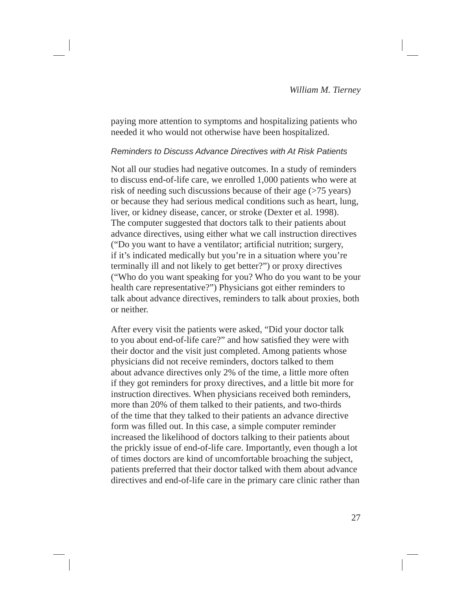paying more attention to symptoms and hospitalizing patients who needed it who would not otherwise have been hospitalized.

### *Reminders to Discuss Advance Directives with At Risk Patients*

Not all our studies had negative outcomes. In a study of reminders to discuss end-of-life care, we enrolled 1,000 patients who were at risk of needing such discussions because of their age (>75 years) or because they had serious medical conditions such as heart, lung, liver, or kidney disease, cancer, or stroke (Dexter et al. 1998). The computer suggested that doctors talk to their patients about advance directives, using either what we call instruction directives ("Do you want to have a ventilator; artificial nutrition; surgery, if it's indicated medically but you're in a situation where you're terminally ill and not likely to get better?") or proxy directives ("Who do you want speaking for you? Who do you want to be your health care representative?") Physicians got either reminders to talk about advance directives, reminders to talk about proxies, both or neither.

After every visit the patients were asked, "Did your doctor talk to you about end-of-life care?" and how satisfied they were with their doctor and the visit just completed. Among patients whose physicians did not receive reminders, doctors talked to them about advance directives only 2% of the time, a little more often if they got reminders for proxy directives, and a little bit more for instruction directives. When physicians received both reminders, more than 20% of them talked to their patients, and two-thirds of the time that they talked to their patients an advance directive form was filled out. In this case, a simple computer reminder increased the likelihood of doctors talking to their patients about the prickly issue of end-of-life care. Importantly, even though a lot of times doctors are kind of uncomfortable broaching the subject, patients preferred that their doctor talked with them about advance directives and end-of-life care in the primary care clinic rather than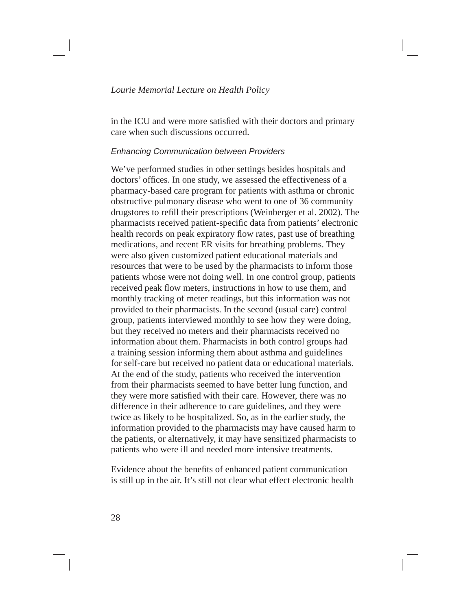in the ICU and were more satisfied with their doctors and primary care when such discussions occurred.

### *Enhancing Communication between Providers*

We've performed studies in other settings besides hospitals and doctors' offices. In one study, we assessed the effectiveness of a pharmacy-based care program for patients with asthma or chronic obstructive pulmonary disease who went to one of 36 community drugstores to refill their prescriptions (Weinberger et al. 2002). The pharmacists received patient-specific data from patients' electronic health records on peak expiratory flow rates, past use of breathing medications, and recent ER visits for breathing problems. They were also given customized patient educational materials and resources that were to be used by the pharmacists to inform those patients whose were not doing well. In one control group, patients received peak flow meters, instructions in how to use them, and monthly tracking of meter readings, but this information was not provided to their pharmacists. In the second (usual care) control group, patients interviewed monthly to see how they were doing, but they received no meters and their pharmacists received no information about them. Pharmacists in both control groups had a training session informing them about asthma and guidelines for self-care but received no patient data or educational materials. At the end of the study, patients who received the intervention from their pharmacists seemed to have better lung function, and they were more satisfied with their care. However, there was no difference in their adherence to care guidelines, and they were twice as likely to be hospitalized. So, as in the earlier study, the information provided to the pharmacists may have caused harm to the patients, or alternatively, it may have sensitized pharmacists to patients who were ill and needed more intensive treatments.

Evidence about the benefits of enhanced patient communication is still up in the air. It's still not clear what effect electronic health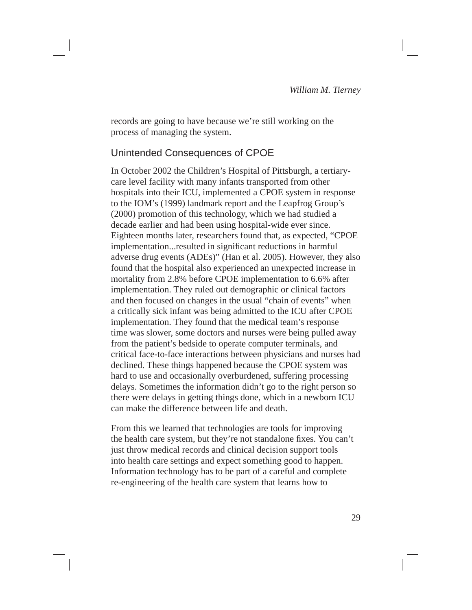records are going to have because we're still working on the process of managing the system.

# Unintended Consequences of CPOE

In October 2002 the Children's Hospital of Pittsburgh, a tertiarycare level facility with many infants transported from other hospitals into their ICU, implemented a CPOE system in response to the IOM's (1999) landmark report and the Leapfrog Group's (2000) promotion of this technology, which we had studied a decade earlier and had been using hospital-wide ever since. Eighteen months later, researchers found that, as expected, "CPOE implementation...resulted in significant reductions in harmful adverse drug events (ADEs)" (Han et al. 2005). However, they also found that the hospital also experienced an unexpected increase in mortality from 2.8% before CPOE implementation to 6.6% after implementation. They ruled out demographic or clinical factors and then focused on changes in the usual "chain of events" when a critically sick infant was being admitted to the ICU after CPOE implementation. They found that the medical team's response time was slower, some doctors and nurses were being pulled away from the patient's bedside to operate computer terminals, and critical face-to-face interactions between physicians and nurses had declined. These things happened because the CPOE system was hard to use and occasionally overburdened, suffering processing delays. Sometimes the information didn't go to the right person so there were delays in getting things done, which in a newborn ICU can make the difference between life and death.

From this we learned that technologies are tools for improving the health care system, but they're not standalone fixes. You can't just throw medical records and clinical decision support tools into health care settings and expect something good to happen. Information technology has to be part of a careful and complete re-engineering of the health care system that learns how to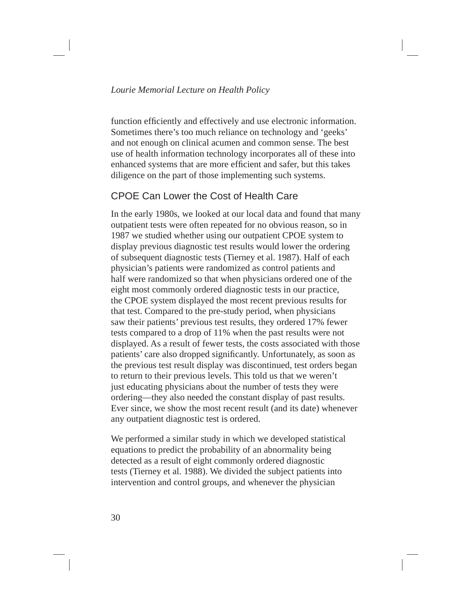function efficiently and effectively and use electronic information. Sometimes there's too much reliance on technology and 'geeks' and not enough on clinical acumen and common sense. The best use of health information technology incorporates all of these into enhanced systems that are more efficient and safer, but this takes diligence on the part of those implementing such systems.

# CPOE Can Lower the Cost of Health Care

In the early 1980s, we looked at our local data and found that many outpatient tests were often repeated for no obvious reason, so in 1987 we studied whether using our outpatient CPOE system to display previous diagnostic test results would lower the ordering of subsequent diagnostic tests (Tierney et al. 1987). Half of each physician's patients were randomized as control patients and half were randomized so that when physicians ordered one of the eight most commonly ordered diagnostic tests in our practice, the CPOE system displayed the most recent previous results for that test. Compared to the pre-study period, when physicians saw their patients' previous test results, they ordered 17% fewer tests compared to a drop of 11% when the past results were not displayed. As a result of fewer tests, the costs associated with those patients' care also dropped significantly. Unfortunately, as soon as the previous test result display was discontinued, test orders began to return to their previous levels. This told us that we weren't just educating physicians about the number of tests they were ordering—they also needed the constant display of past results. Ever since, we show the most recent result (and its date) whenever any outpatient diagnostic test is ordered.

We performed a similar study in which we developed statistical equations to predict the probability of an abnormality being detected as a result of eight commonly ordered diagnostic tests (Tierney et al. 1988). We divided the subject patients into intervention and control groups, and whenever the physician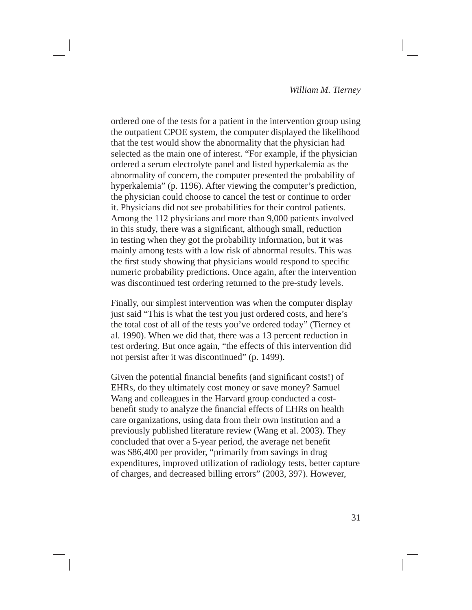ordered one of the tests for a patient in the intervention group using the outpatient CPOE system, the computer displayed the likelihood that the test would show the abnormality that the physician had selected as the main one of interest. "For example, if the physician ordered a serum electrolyte panel and listed hyperkalemia as the abnormality of concern, the computer presented the probability of hyperkalemia" (p. 1196). After viewing the computer's prediction, the physician could choose to cancel the test or continue to order it. Physicians did not see probabilities for their control patients. Among the 112 physicians and more than 9,000 patients involved in this study, there was a significant, although small, reduction in testing when they got the probability information, but it was mainly among tests with a low risk of abnormal results. This was the first study showing that physicians would respond to specific numeric probability predictions. Once again, after the intervention was discontinued test ordering returned to the pre-study levels.

Finally, our simplest intervention was when the computer display just said "This is what the test you just ordered costs, and here's the total cost of all of the tests you've ordered today" (Tierney et al. 1990). When we did that, there was a 13 percent reduction in test ordering. But once again, "the effects of this intervention did not persist after it was discontinued" (p. 1499).

Given the potential financial benefits (and significant costs!) of EHRs, do they ultimately cost money or save money? Samuel Wang and colleagues in the Harvard group conducted a costbenefit study to analyze the financial effects of EHRs on health care organizations, using data from their own institution and a previously published literature review (Wang et al. 2003). They concluded that over a 5-year period, the average net benefit was \$86,400 per provider, "primarily from savings in drug expenditures, improved utilization of radiology tests, better capture of charges, and decreased billing errors" (2003, 397). However,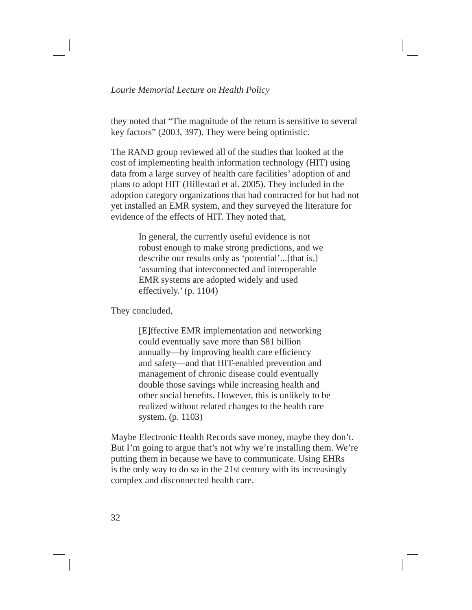they noted that "The magnitude of the return is sensitive to several key factors" (2003, 397). They were being optimistic.

The RAND group reviewed all of the studies that looked at the cost of implementing health information technology (HIT) using data from a large survey of health care facilities' adoption of and plans to adopt HIT (Hillestad et al. 2005). They included in the adoption category organizations that had contracted for but had not yet installed an EMR system, and they surveyed the literature for evidence of the effects of HIT. They noted that,

> In general, the currently useful evidence is not robust enough to make strong predictions, and we describe our results only as 'potential'...[that is,] 'assuming that interconnected and interoperable EMR systems are adopted widely and used effectively.' (p. 1104)

They concluded,

[E]ffective EMR implementation and networking could eventually save more than \$81 billion annually—by improving health care efficiency and safety—and that HIT-enabled prevention and management of chronic disease could eventually double those savings while increasing health and other social benefits. However, this is unlikely to be realized without related changes to the health care system. (p. 1103)

Maybe Electronic Health Records save money, maybe they don't. But I'm going to argue that's not why we're installing them. We're putting them in because we have to communicate. Using EHRs is the only way to do so in the 21st century with its increasingly complex and disconnected health care.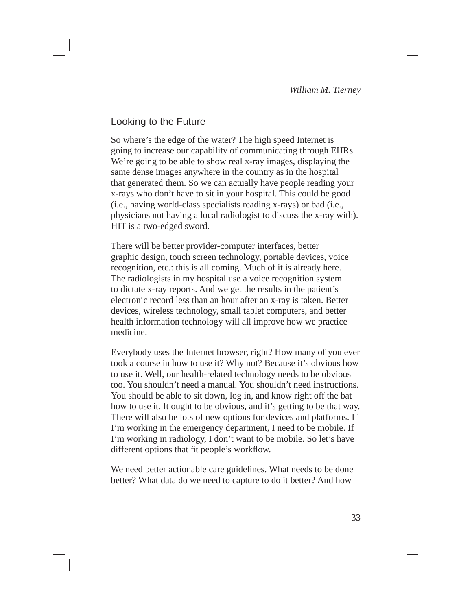# Looking to the Future

So where's the edge of the water? The high speed Internet is going to increase our capability of communicating through EHRs. We're going to be able to show real x-ray images, displaying the same dense images anywhere in the country as in the hospital that generated them. So we can actually have people reading your x-rays who don't have to sit in your hospital. This could be good (i.e., having world-class specialists reading x-rays) or bad (i.e., physicians not having a local radiologist to discuss the x-ray with). HIT is a two-edged sword.

There will be better provider-computer interfaces, better graphic design, touch screen technology, portable devices, voice recognition, etc.: this is all coming. Much of it is already here. The radiologists in my hospital use a voice recognition system to dictate x-ray reports. And we get the results in the patient's electronic record less than an hour after an x-ray is taken. Better devices, wireless technology, small tablet computers, and better health information technology will all improve how we practice medicine.

Everybody uses the Internet browser, right? How many of you ever took a course in how to use it? Why not? Because it's obvious how to use it. Well, our health-related technology needs to be obvious too. You shouldn't need a manual. You shouldn't need instructions. You should be able to sit down, log in, and know right off the bat how to use it. It ought to be obvious, and it's getting to be that way. There will also be lots of new options for devices and platforms. If I'm working in the emergency department, I need to be mobile. If I'm working in radiology, I don't want to be mobile. So let's have different options that fit people's workflow.

We need better actionable care guidelines. What needs to be done better? What data do we need to capture to do it better? And how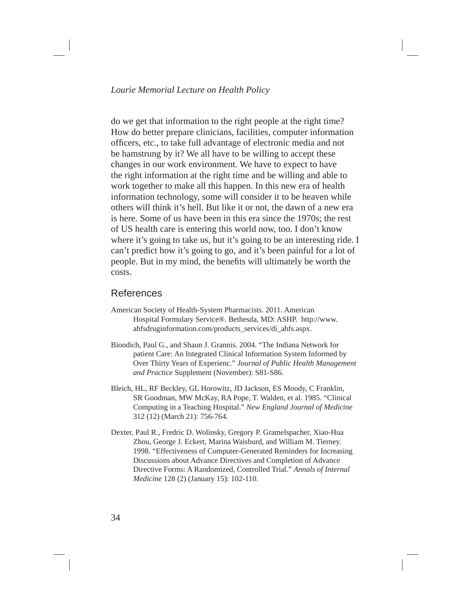do we get that information to the right people at the right time? How do better prepare clinicians, facilities, computer information officers, etc., to take full advantage of electronic media and not be hamstrung by it? We all have to be willing to accept these changes in our work environment. We have to expect to have the right information at the right time and be willing and able to work together to make all this happen. In this new era of health information technology, some will consider it to be heaven while others will think it's hell. But like it or not, the dawn of a new era is here. Some of us have been in this era since the 1970s; the rest of US health care is entering this world now, too. I don't know where it's going to take us, but it's going to be an interesting ride. I can't predict how it's going to go, and it's been painful for a lot of people. But in my mind, the benefits will ultimately be worth the costs.

### References

- American Society of Health-System Pharmacists. 2011. American Hospital Formulary Service®. Bethesda, MD: ASHP. http://www. ahfsdruginformation.com/products\_services/di\_ahfs.aspx.
- Biondich, Paul G., and Shaun J. Grannis. 2004. "The Indiana Network for patient Care: An Integrated Clinical Information System Informed by Over Thirty Years of Experienc." *Journal of Public Health Management and Practice* Supplement (November): S81-S86.
- Bleich, HL, RF Beckley, GL Horowitz, JD Jackson, ES Moody, C Franklin, SR Goodman, MW McKay, RA Pope, T. Walden, et al. 1985. "Clinical Computing in a Teaching Hospital." *New England Journal of Medicine*  312 (12) (March 21): 756-764.
- Dexter, Paul R., Fredric D. Wolinsky, Gregory P. Gramelspacher, Xiao-Hua Zhou, George J. Eckert, Marina Waisburd, and William M. Tierney. 1998. "Effectiveness of Computer-Generated Reminders for Increasing Discussions about Advance Directives and Completion of Advance Directive Forms: A Randomized, Controlled Trial." *Annals of Internal Medicine* 128 (2) (January 15): 102-110.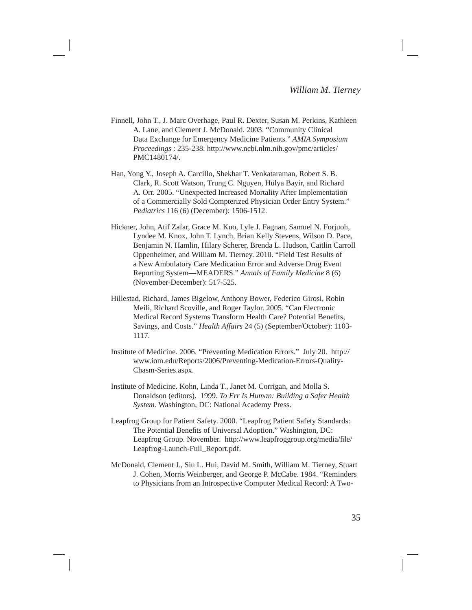- Finnell, John T., J. Marc Overhage, Paul R. Dexter, Susan M. Perkins, Kathleen A. Lane, and Clement J. McDonald. 2003. "Community Clinical Data Exchange for Emergency Medicine Patients." *AMIA Symposium Proceedings* : 235-238. http://www.ncbi.nlm.nih.gov/pmc/articles/ PMC1480174/.
- Han, Yong Y., Joseph A. Carcillo, Shekhar T. Venkataraman, Robert S. B. Clark, R. Scott Watson, Trung C. Nguyen, Hülya Bayir, and Richard A. Orr. 2005. "Unexpected Increased Mortality After Implementation of a Commercially Sold Compterized Physician Order Entry System." *Pediatrics* 116 (6) (December): 1506-1512.
- Hickner, John, Atif Zafar, Grace M. Kuo, Lyle J. Fagnan, Samuel N. Forjuoh, Lyndee M. Knox, John T. Lynch, Brian Kelly Stevens, Wilson D. Pace, Benjamin N. Hamlin, Hilary Scherer, Brenda L. Hudson, Caitlin Carroll Oppenheimer, and William M. Tierney. 2010. "Field Test Results of a New Ambulatory Care Medication Error and Adverse Drug Event Reporting System—MEADERS." *Annals of Family Medicine* 8 (6) (November-December): 517-525.
- Hillestad, Richard, James Bigelow, Anthony Bower, Federico Girosi, Robin Meili, Richard Scoville, and Roger Taylor. 2005. "Can Electronic Medical Record Systems Transform Health Care? Potential Benefits, Savings, and Costs." *Health Affairs* 24 (5) (September/October): 1103- 1117.
- Institute of Medicine. 2006. "Preventing Medication Errors." July 20. http:// www.iom.edu/Reports/2006/Preventing-Medication-Errors-Quality-Chasm-Series.aspx.
- Institute of Medicine. Kohn, Linda T., Janet M. Corrigan, and Molla S. Donaldson (editors). 1999. *To Err Is Human: Building a Safer Health System.* Washington, DC: National Academy Press.
- Leapfrog Group for Patient Safety. 2000. "Leapfrog Patient Safety Standards: The Potential Benefits of Universal Adoption." Washington, DC: Leapfrog Group. November. http://www.leapfroggroup.org/media/file/ Leapfrog-Launch-Full\_Report.pdf.
- McDonald, Clement J., Siu L. Hui, David M. Smith, William M. Tierney, Stuart J. Cohen, Morris Weinberger, and George P. McCabe. 1984. "Reminders to Physicians from an Introspective Computer Medical Record: A Two-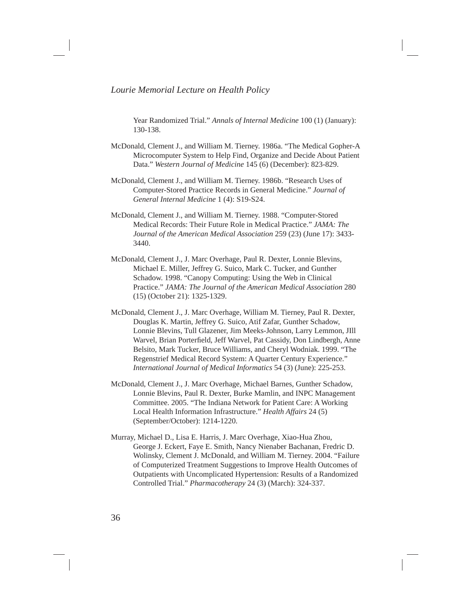Year Randomized Trial." *Annals of Internal Medicine* 100 (1) (January): 130-138.

- McDonald, Clement J., and William M. Tierney. 1986a. "The Medical Gopher-A Microcomputer System to Help Find, Organize and Decide About Patient Data." *Western Journal of Medicine* 145 (6) (December): 823-829.
- McDonald, Clement J., and William M. Tierney. 1986b. "Research Uses of Computer-Stored Practice Records in General Medicine." *Journal of General Internal Medicine* 1 (4): S19-S24.
- McDonald, Clement J., and William M. Tierney. 1988. "Computer-Stored Medical Records: Their Future Role in Medical Practice." *JAMA: The Journal of the American Medical Association* 259 (23) (June 17): 3433- 3440.
- McDonald, Clement J., J. Marc Overhage, Paul R. Dexter, Lonnie Blevins, Michael E. Miller, Jeffrey G. Suico, Mark C. Tucker, and Gunther Schadow. 1998. "Canopy Computing: Using the Web in Clinical Practice." *JAMA: The Journal of the American Medical Association* 280 (15) (October 21): 1325-1329.
- McDonald, Clement J., J. Marc Overhage, William M. Tierney, Paul R. Dexter, Douglas K. Martin, Jeffrey G. Suico, Atif Zafar, Gunther Schadow, Lonnie Blevins, Tull Glazener, Jim Meeks-Johnson, Larry Lemmon, JIll Warvel, Brian Porterfield, Jeff Warvel, Pat Cassidy, Don Lindbergh, Anne Belsito, Mark Tucker, Bruce Williams, and Cheryl Wodniak. 1999. "The Regenstrief Medical Record System: A Quarter Century Experience." *International Journal of Medical Informatics* 54 (3) (June): 225-253.
- McDonald, Clement J., J. Marc Overhage, Michael Barnes, Gunther Schadow, Lonnie Blevins, Paul R. Dexter, Burke Mamlin, and INPC Management Committee. 2005. "The Indiana Network for Patient Care: A Working Local Health Information Infrastructure." *Health Affairs* 24 (5) (September/October): 1214-1220.
- Murray, Michael D., Lisa E. Harris, J. Marc Overhage, Xiao-Hua Zhou, George J. Eckert, Faye E. Smith, Nancy Nienaber Bachanan, Fredric D. Wolinsky, Clement J. McDonald, and William M. Tierney. 2004. "Failure of Computerized Treatment Suggestions to Improve Health Outcomes of Outpatients with Uncomplicated Hypertension: Results of a Randomized Controlled Trial." *Pharmacotherapy* 24 (3) (March): 324-337.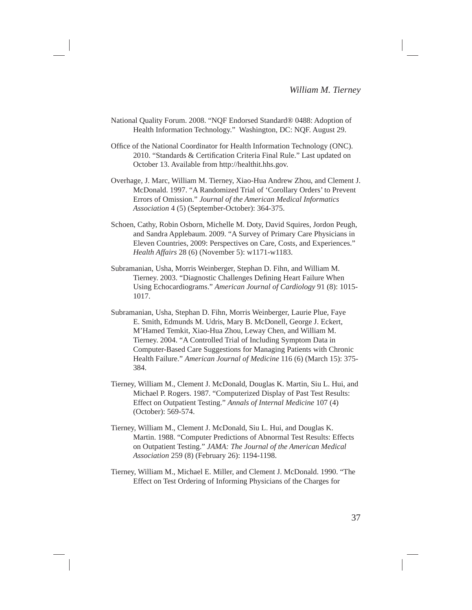- National Quality Forum. 2008. "NQF Endorsed Standard® 0488: Adoption of Health Information Technology." Washington, DC: NQF. August 29.
- Office of the National Coordinator for Health Information Technology (ONC). 2010. "Standards & Certification Criteria Final Rule." Last updated on October 13. Available from http://healthit.hhs.gov.
- Overhage, J. Marc, William M. Tierney, Xiao-Hua Andrew Zhou, and Clement J. McDonald. 1997. "A Randomized Trial of 'Corollary Orders' to Prevent Errors of Omission." *Journal of the American Medical Informatics Association* 4 (5) (September-October): 364-375.
- Schoen, Cathy, Robin Osborn, Michelle M. Doty, David Squires, Jordon Peugh, and Sandra Applebaum. 2009. "A Survey of Primary Care Physicians in Eleven Countries, 2009: Perspectives on Care, Costs, and Experiences." *Health Affairs* 28 (6) (November 5): w1171-w1183.
- Subramanian, Usha, Morris Weinberger, Stephan D. Fihn, and William M. Tierney. 2003. "Diagnostic Challenges Defining Heart Failure When Using Echocardiograms." *American Journal of Cardiology* 91 (8): 1015- 1017.
- Subramanian, Usha, Stephan D. Fihn, Morris Weinberger, Laurie Plue, Faye E. Smith, Edmunds M. Udris, Mary B. McDonell, George J. Eckert, M'Hamed Temkit, Xiao-Hua Zhou, Leway Chen, and William M. Tierney. 2004. "A Controlled Trial of Including Symptom Data in Computer-Based Care Suggestions for Managing Patients with Chronic Health Failure." *American Journal of Medicine* 116 (6) (March 15): 375- 384.
- Tierney, William M., Clement J. McDonald, Douglas K. Martin, Siu L. Hui, and Michael P. Rogers. 1987. "Computerized Display of Past Test Results: Effect on Outpatient Testing." *Annals of Internal Medicine* 107 (4) (October): 569-574.
- Tierney, William M., Clement J. McDonald, Siu L. Hui, and Douglas K. Martin. 1988. "Computer Predictions of Abnormal Test Results: Effects on Outpatient Testing." *JAMA: The Journal of the American Medical Association* 259 (8) (February 26): 1194-1198.
- Tierney, William M., Michael E. Miller, and Clement J. McDonald. 1990. "The Effect on Test Ordering of Informing Physicians of the Charges for